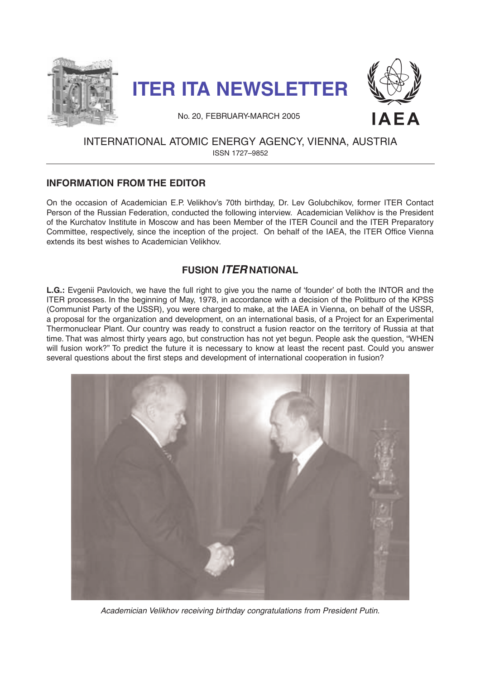





No. 20, FEBRUARY-MARCH 2005

# INTERNATIONAL ATOMIC ENERGY AGENCY, VIENNA, AUSTRIA ISSN 1727–9852

# **INFORMATION FROM THE EDITOR**

On the occasion of Academician E.P. Velikhov's 70th birthday, Dr. Lev Golubchikov, former ITER Contact Person of the Russian Federation, conducted the following interview. Academician Velikhov is the President of the Kurchatov Institute in Moscow and has been Member of the ITER Council and the ITER Preparatory Committee, respectively, since the inception of the project. On behalf of the IAEA, the ITER Office Vienna extends its best wishes to Academician Velikhov.

# **FUSION ITER NATIONAL**

**L.G.:** Evgenii Pavlovich, we have the full right to give you the name of 'founder' of both the INTOR and the ITER processes. In the beginning of May, 1978, in accordance with a decision of the Politburo of the KPSS (Communist Party of the USSR), you were charged to make, at the IAEA in Vienna, on behalf of the USSR, a proposal for the organization and development, on an international basis, of a Project for an Experimental Thermonuclear Plant. Our country was ready to construct a fusion reactor on the territory of Russia at that time. That was almost thirty years ago, but construction has not yet begun. People ask the question, "WHEN will fusion work?" To predict the future it is necessary to know at least the recent past. Could you answer several questions about the first steps and development of international cooperation in fusion?



Academician Velikhov receiving birthday congratulations from President Putin.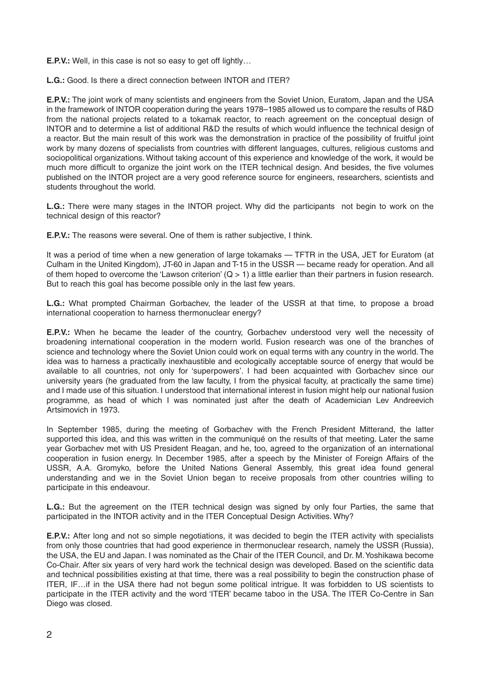**E.P.V.:** Well, in this case is not so easy to get off lightly...

**L.G.:** Good. Is there a direct connection between INTOR and ITER?

**E.P.V.:** The joint work of many scientists and engineers from the Soviet Union, Euratom, Japan and the USA in the framework of INTOR cooperation during the years 1978–1985 allowed us to compare the results of R&D from the national projects related to a tokamak reactor, to reach agreement on the conceptual design of INTOR and to determine a list of additional R&D the results of which would influence the technical design of a reactor. But the main result of this work was the demonstration in practice of the possibility of fruitful joint work by many dozens of specialists from countries with different languages, cultures, religious customs and sociopolitical organizations. Without taking account of this experience and knowledge of the work, it would be much more difficult to organize the joint work on the ITER technical design. And besides, the five volumes published on the INTOR project are a very good reference source for engineers, researchers, scientists and students throughout the world.

**L.G.:** There were many stages in the INTOR project. Why did the participants not begin to work on the technical design of this reactor?

**E.P.V.:** The reasons were several. One of them is rather subjective, I think.

It was a period of time when a new generation of large tokamaks — TFTR in the USA, JET for Euratom (at Culham in the United Kingdom), JT-60 in Japan and T-15 in the USSR — became ready for operation. And all of them hoped to overcome the 'Lawson criterion'  $(Q > 1)$  a little earlier than their partners in fusion research. But to reach this goal has become possible only in the last few years.

**L.G.:** What prompted Chairman Gorbachev, the leader of the USSR at that time, to propose a broad international cooperation to harness thermonuclear energy?

**E.P.V.:** When he became the leader of the country, Gorbachev understood very well the necessity of broadening international cooperation in the modern world. Fusion research was one of the branches of science and technology where the Soviet Union could work on equal terms with any country in the world. The idea was to harness a practically inexhaustible and ecologically acceptable source of energy that would be available to all countries, not only for 'superpowers'. I had been acquainted with Gorbachev since our university years (he graduated from the law faculty, I from the physical faculty, at practically the same time) and I made use of this situation. I understood that international interest in fusion might help our national fusion programme, as head of which I was nominated just after the death of Academician Lev Andreevich Artsimovich in 1973.

In September 1985, during the meeting of Gorbachev with the French President Mitterand, the latter supported this idea, and this was written in the communiqué on the results of that meeting. Later the same year Gorbachev met with US President Reagan, and he, too, agreed to the organization of an international cooperation in fusion energy. In December 1985, after a speech by the Minister of Foreign Affairs of the USSR, A.A. Gromyko, before the United Nations General Assembly, this great idea found general understanding and we in the Soviet Union began to receive proposals from other countries willing to participate in this endeavour.

**L.G.:** But the agreement on the ITER technical design was signed by only four Parties, the same that participated in the INTOR activity and in the ITER Conceptual Design Activities. Why?

**E.P.V.:** After long and not so simple negotiations, it was decided to begin the ITER activity with specialists from only those countries that had good experience in thermonuclear research, namely the USSR (Russia), the USA, the EU and Japan. I was nominated as the Chair of the ITER Council, and Dr. M.Yoshikawa become Co-Chair. After six years of very hard work the technical design was developed. Based on the scientific data and technical possibilities existing at that time, there was a real possibility to begin the construction phase of ITER, IF…if in the USA there had not begun some political intrigue. It was forbidden to US scientists to participate in the ITER activity and the word 'ITER' became taboo in the USA. The ITER Co-Centre in San Diego was closed.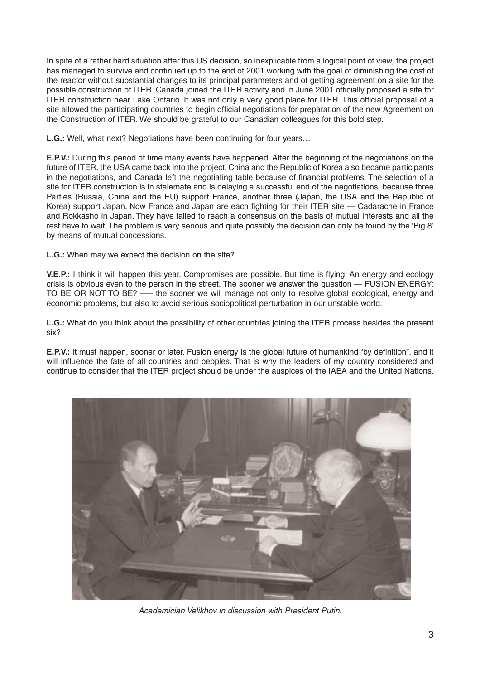In spite of a rather hard situation after this US decision, so inexplicable from a logical point of view, the project has managed to survive and continued up to the end of 2001 working with the goal of diminishing the cost of the reactor without substantial changes to its principal parameters and of getting agreement on a site for the possible construction of ITER. Canada joined the ITER activity and in June 2001 officially proposed a site for ITER construction near Lake Ontario. It was not only a very good place for ITER. This official proposal of a site allowed the participating countries to begin official negotiations for preparation of the new Agreement on the Construction of ITER. We should be grateful to our Canadian colleagues for this bold step.

**L.G.:** Well, what next? Negotiations have been continuing for four years…

**E.P.V.:** During this period of time many events have happened. After the beginning of the negotiations on the future of ITER, the USA came back into the project. China and the Republic of Korea also became participants in the negotiations, and Canada left the negotiating table because of financial problems. The selection of a site for ITER construction is in stalemate and is delaying a successful end of the negotiations, because three Parties (Russia, China and the EU) support France, another three (Japan, the USA and the Republic of Korea) support Japan. Now France and Japan are each fighting for their ITER site — Cadarache in France and Rokkasho in Japan. They have failed to reach a consensus on the basis of mutual interests and all the rest have to wait. The problem is very serious and quite possibly the decision can only be found by the 'Big 8' by means of mutual concessions.

**L.G.:** When may we expect the decision on the site?

**V.E.P.:** I think it will happen this year. Compromises are possible. But time is flying. An energy and ecology crisis is obvious even to the person in the street. The sooner we answer the question — FUSION ENERGY: TO BE OR NOT TO BE? —– the sooner we will manage not only to resolve global ecological, energy and economic problems, but also to avoid serious sociopolitical perturbation in our unstable world.

**L.G.:** What do you think about the possibility of other countries joining the ITER process besides the present six?

**E.P.V.:** It must happen, sooner or later. Fusion energy is the global future of humankind "by definition", and it will influence the fate of all countries and peoples. That is why the leaders of my country considered and continue to consider that the ITER project should be under the auspices of the IAEA and the United Nations.



Academician Velikhov in discussion with President Putin.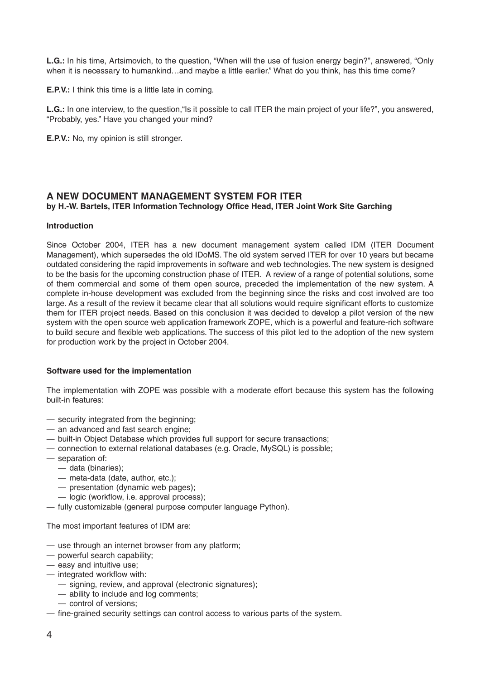**L.G.:** In his time, Artsimovich, to the question, "When will the use of fusion energy begin?", answered, "Only when it is necessary to humankind…and maybe a little earlier." What do you think, has this time come?

**E.P.V.:** I think this time is a little late in coming.

**L.G.:** In one interview, to the question,"Is it possible to call ITER the main project of your life?", you answered, "Probably, yes." Have you changed your mind?

**E.P.V.:** No. my opinion is still stronger.

## **A NEW DOCUMENT MANAGEMENT SYSTEM FOR ITER by H.-W. Bartels, ITER Information Technology Office Head, ITER Joint Work Site Garching**

#### **Introduction**

Since October 2004, ITER has a new document management system called IDM (ITER Document Management), which supersedes the old IDoMS. The old system served ITER for over 10 years but became outdated considering the rapid improvements in software and web technologies. The new system is designed to be the basis for the upcoming construction phase of ITER. A review of a range of potential solutions, some of them commercial and some of them open source, preceded the implementation of the new system. A complete in-house development was excluded from the beginning since the risks and cost involved are too large. As a result of the review it became clear that all solutions would require significant efforts to customize them for ITER project needs. Based on this conclusion it was decided to develop a pilot version of the new system with the open source web application framework ZOPE, which is a powerful and feature-rich software to build secure and flexible web applications. The success of this pilot led to the adoption of the new system for production work by the project in October 2004.

## **Software used for the implementation**

The implementation with ZOPE was possible with a moderate effort because this system has the following built-in features:

- security integrated from the beginning;
- an advanced and fast search engine;
- built-in Object Database which provides full support for secure transactions;
- connection to external relational databases (e.g. Oracle, MySQL) is possible;
- separation of:
	- data (binaries);
	- meta-data (date, author, etc.);
	- presentation (dynamic web pages);
	- logic (workflow, i.e. approval process);
- fully customizable (general purpose computer language Python).

The most important features of IDM are:

- use through an internet browser from any platform;
- powerful search capability;
- easy and intuitive use;
- integrated workflow with:
	- signing, review, and approval (electronic signatures);
	- ability to include and log comments;
	- control of versions;
- fine-grained security settings can control access to various parts of the system.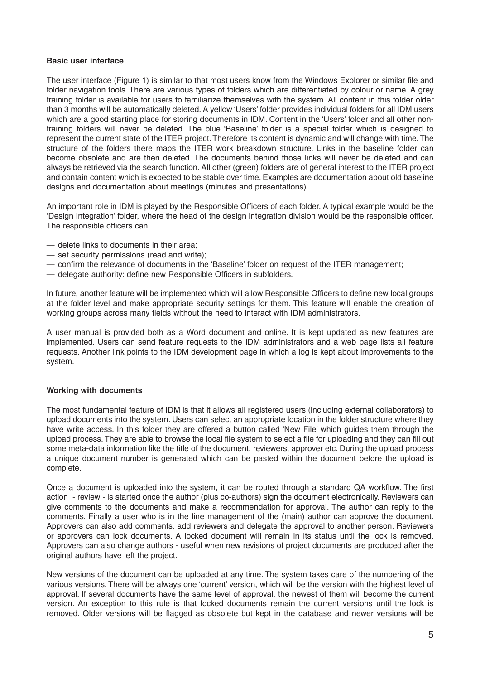#### **Basic user interface**

The user interface (Figure 1) is similar to that most users know from the Windows Explorer or similar file and folder navigation tools. There are various types of folders which are differentiated by colour or name. A grey training folder is available for users to familiarize themselves with the system. All content in this folder older than 3 months will be automatically deleted. A yellow 'Users' folder provides individual folders for all IDM users which are a good starting place for storing documents in IDM. Content in the 'Users' folder and all other nontraining folders will never be deleted. The blue 'Baseline' folder is a special folder which is designed to represent the current state of the ITER project. Therefore its content is dynamic and will change with time. The structure of the folders there maps the ITER work breakdown structure. Links in the baseline folder can become obsolete and are then deleted. The documents behind those links will never be deleted and can always be retrieved via the search function. All other (green) folders are of general interest to the ITER project and contain content which is expected to be stable over time. Examples are documentation about old baseline designs and documentation about meetings (minutes and presentations).

An important role in IDM is played by the Responsible Officers of each folder. A typical example would be the 'Design Integration' folder, where the head of the design integration division would be the responsible officer. The responsible officers can:

- delete links to documents in their area;
- set security permissions (read and write);
- confirm the relevance of documents in the 'Baseline' folder on request of the ITER management;
- delegate authority: define new Responsible Officers in subfolders.

In future, another feature will be implemented which will allow Responsible Officers to define new local groups at the folder level and make appropriate security settings for them. This feature will enable the creation of working groups across many fields without the need to interact with IDM administrators.

A user manual is provided both as a Word document and online. It is kept updated as new features are implemented. Users can send feature requests to the IDM administrators and a web page lists all feature requests. Another link points to the IDM development page in which a log is kept about improvements to the system.

## **Working with documents**

The most fundamental feature of IDM is that it allows all registered users (including external collaborators) to upload documents into the system. Users can select an appropriate location in the folder structure where they have write access. In this folder they are offered a button called 'New File' which guides them through the upload process. They are able to browse the local file system to select a file for uploading and they can fill out some meta-data information like the title of the document, reviewers, approver etc. During the upload process a unique document number is generated which can be pasted within the document before the upload is complete.

Once a document is uploaded into the system, it can be routed through a standard QA workflow. The first action - review - is started once the author (plus co-authors) sign the document electronically. Reviewers can give comments to the documents and make a recommendation for approval. The author can reply to the comments. Finally a user who is in the line management of the (main) author can approve the document. Approvers can also add comments, add reviewers and delegate the approval to another person. Reviewers or approvers can lock documents. A locked document will remain in its status until the lock is removed. Approvers can also change authors - useful when new revisions of project documents are produced after the original authors have left the project.

New versions of the document can be uploaded at any time. The system takes care of the numbering of the various versions. There will be always one 'current' version, which will be the version with the highest level of approval. If several documents have the same level of approval, the newest of them will become the current version. An exception to this rule is that locked documents remain the current versions until the lock is removed. Older versions will be flagged as obsolete but kept in the database and newer versions will be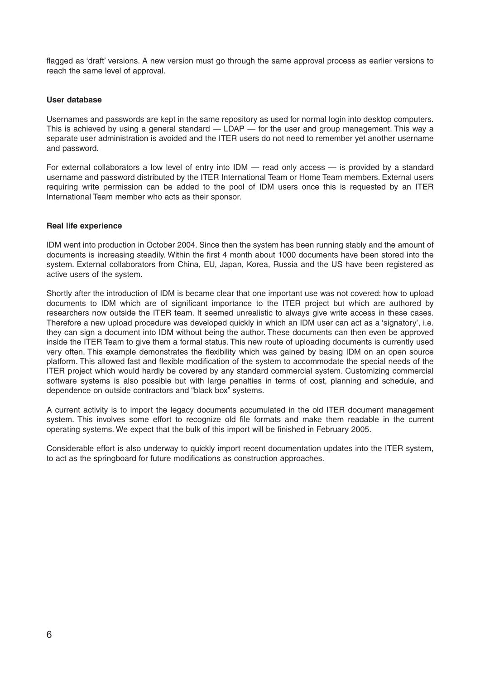flagged as 'draft' versions. A new version must go through the same approval process as earlier versions to reach the same level of approval.

#### **User database**

Usernames and passwords are kept in the same repository as used for normal login into desktop computers. This is achieved by using a general standard — LDAP — for the user and group management. This way a separate user administration is avoided and the ITER users do not need to remember yet another username and password.

For external collaborators a low level of entry into IDM — read only access — is provided by a standard username and password distributed by the ITER International Team or Home Team members. External users requiring write permission can be added to the pool of IDM users once this is requested by an ITER International Team member who acts as their sponsor.

## **Real life experience**

IDM went into production in October 2004. Since then the system has been running stably and the amount of documents is increasing steadily. Within the first 4 month about 1000 documents have been stored into the system. External collaborators from China, EU, Japan, Korea, Russia and the US have been registered as active users of the system.

Shortly after the introduction of IDM is became clear that one important use was not covered: how to upload documents to IDM which are of significant importance to the ITER project but which are authored by researchers now outside the ITER team. It seemed unrealistic to always give write access in these cases. Therefore a new upload procedure was developed quickly in which an IDM user can act as a 'signatory', i.e. they can sign a document into IDM without being the author. These documents can then even be approved inside the ITER Team to give them a formal status. This new route of uploading documents is currently used very often. This example demonstrates the flexibility which was gained by basing IDM on an open source platform. This allowed fast and flexible modification of the system to accommodate the special needs of the ITER project which would hardly be covered by any standard commercial system. Customizing commercial software systems is also possible but with large penalties in terms of cost, planning and schedule, and dependence on outside contractors and "black box" systems.

A current activity is to import the legacy documents accumulated in the old ITER document management system. This involves some effort to recognize old file formats and make them readable in the current operating systems. We expect that the bulk of this import will be finished in February 2005.

Considerable effort is also underway to quickly import recent documentation updates into the ITER system, to act as the springboard for future modifications as construction approaches.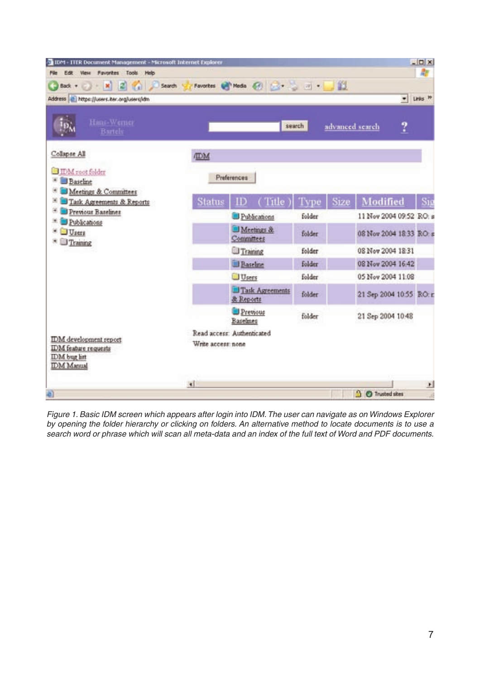| 10M - ITER Document Management - Microsoft Internet Explorer<br>View Favorites Tools Help<br>Edit<br>File |                    |                                |        |      |                         |   | $\Box$                  |
|-----------------------------------------------------------------------------------------------------------|--------------------|--------------------------------|--------|------|-------------------------|---|-------------------------|
| Search                                                                                                    |                    | Favorites @ Media @ 20 30 30 1 |        | 图    |                         |   | 櫩                       |
| Address <sup>2</sup> https://users.iter.org/users/idm                                                     |                    |                                |        |      |                         |   | $=$ Links $\frac{1}{2}$ |
| Hans-Werner<br><b>Bartels</b>                                                                             |                    |                                | search |      | advanced search         | ? |                         |
| Collapse All                                                                                              | <b>IDM</b>         |                                |        |      |                         |   |                         |
| <b>DM</b> root folder<br><b>B</b> Baseline<br>æ<br>Meetings & Committees                                  | Preferences        |                                |        |      |                         |   |                         |
| <sup>36</sup> Task Agreements & Reports                                                                   | Status             | ( Title                        | Type   | Size | Modified                |   |                         |
| 闲<br>Previous Baselines<br>冕<br>Publications<br><b>Users</b><br>Training                                  |                    | Publications                   | folder |      | 11 Nov 2004 09:52 RO: a |   |                         |
|                                                                                                           |                    | Meetings &<br>Committees       | folder |      | 08 Nov 2004 18:33 RO: s |   |                         |
|                                                                                                           |                    | Training                       | folder |      | 08 Nov 2004 18:31       |   |                         |
|                                                                                                           |                    | Baseline                       | folder |      | 08 Nov 2004 16:42       |   |                         |
|                                                                                                           |                    | Users                          | folder |      | 05 Nov 2004 11:08       |   |                         |
|                                                                                                           |                    | Task Agreements<br>& Reports   | folder |      | 21 Sep 2004 10:55 RO: r |   |                         |
|                                                                                                           |                    | Previous<br>Baselines          | folder |      | 21 Sep 2004 10:48       |   |                         |
| IDM development report<br><b>IDM</b> feature requests<br>IDM bug list<br><b>IDM</b> Manual                | Write access: none | Read access: Authenticated     |        |      |                         |   |                         |
|                                                                                                           | $\mathbf{H}$       |                                |        |      |                         |   | $\mathbf{r}$            |
|                                                                                                           |                    |                                |        |      | <b>G</b> Trusted sites  |   | a)                      |

Figure 1. Basic IDM screen which appears after login into IDM.The user can navigate as on Windows Explorer by opening the folder hierarchy or clicking on folders. An alternative method to locate documents is to use a search word or phrase which will scan all meta-data and an index of the full text of Word and PDF documents.